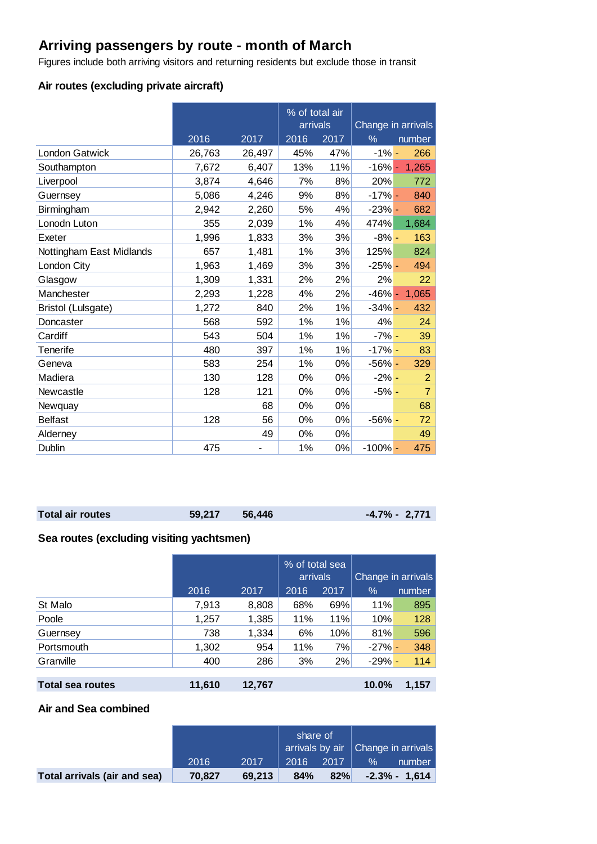# **Arriving passengers by route - month of March**

Figures include both arriving visitors and returning residents but exclude those in transit

## **Air routes (excluding private aircraft)**

|                          |        |        | % of total air<br>arrivals |       | Change in arrivals |                 |  |
|--------------------------|--------|--------|----------------------------|-------|--------------------|-----------------|--|
|                          | 2016   | 2017   | 2016                       | 2017  | $\frac{9}{6}$      | number          |  |
| <b>London Gatwick</b>    | 26,763 | 26,497 | 45%                        | 47%   | $-1\%$ -           | 266             |  |
| Southampton              | 7,672  | 6,407  | 13%                        | 11%   |                    | $-16\% - 1,265$ |  |
| Liverpool                | 3,874  | 4,646  | 7%                         | 8%    | 20%                | 772             |  |
| Guernsey                 | 5,086  | 4,246  | 9%                         | 8%    | $-17% -$           | 840             |  |
| Birmingham               | 2,942  | 2,260  | 5%                         | 4%    | $-23%$ -           | 682             |  |
| Lonodn Luton             | 355    | 2,039  | 1%                         | 4%    | 474%               | 1,684           |  |
| Exeter                   | 1,996  | 1,833  | 3%                         | 3%    | $-8% -$            | 163             |  |
| Nottingham East Midlands | 657    | 1,481  | 1%                         | 3%    | 125%               | 824             |  |
| London City              | 1,963  | 1,469  | 3%                         | 3%    | $-25% -$           | 494             |  |
| Glasgow                  | 1,309  | 1,331  | 2%                         | 2%    | 2%                 | 22              |  |
| Manchester               | 2,293  | 1,228  | 4%                         | 2%    | $-46% -$           | 1,065           |  |
| Bristol (Lulsgate)       | 1,272  | 840    | 2%                         | 1%    | $-34% -$           | 432             |  |
| Doncaster                | 568    | 592    | 1%                         | 1%    | 4%                 | 24              |  |
| Cardiff                  | 543    | 504    | 1%                         | 1%    | $-7% -$            | 39              |  |
| <b>Tenerife</b>          | 480    | 397    | 1%                         | 1%    | $-17% -$           | 83              |  |
| Geneva                   | 583    | 254    | 1%                         | $0\%$ | $-56% -$           | 329             |  |
| Madiera                  | 130    | 128    | 0%                         | 0%    | $-2\%$ -           | 2               |  |
| Newcastle                | 128    | 121    | 0%                         | $0\%$ | $-5% -$            | $\overline{7}$  |  |
| Newquay                  |        | 68     | 0%                         | 0%    |                    | 68              |  |
| <b>Belfast</b>           | 128    | 56     | 0%                         | 0%    | $-56%$ -           | 72              |  |
| Alderney                 |        | 49     | 0%                         | 0%    |                    | 49              |  |
| Dublin                   | 475    |        | 1%                         | 0%    | $-100\%$ -         | 475             |  |

| <b>Total air routes</b> | 59,217 56,446 | $-4.7\% - 2,771$ |  |
|-------------------------|---------------|------------------|--|
|                         |               |                  |  |

## **Sea routes (excluding visiting yachtsmen)**

|                         |        |        | % of total sea<br>arrivals |      | Change in arrivals |        |  |
|-------------------------|--------|--------|----------------------------|------|--------------------|--------|--|
|                         | 2016   | 2017   | 2016                       | 2017 | $\%$               | number |  |
| St Malo                 | 7,913  | 8,808  | 68%                        | 69%  | 11%                | 895    |  |
| Poole                   | 1,257  | 1,385  | 11%                        | 11%  | 10%                | 128    |  |
| Guernsey                | 738    | 1,334  | 6%                         | 10%  | 81%                | 596    |  |
| Portsmouth              | 1,302  | 954    | 11%                        | 7%   | $-27\%$ -          | 348    |  |
| Granville               | 400    | 286    | 3%                         | 2%   | $-29% -$           | 114    |  |
|                         |        |        |                            |      |                    |        |  |
| <b>Total sea routes</b> | 11,610 | 12,767 |                            |      | 10.0%              | 1,157  |  |

#### **Air and Sea combined**

|                              |        |        | share of<br>$\frac{1}{2}$ arrivals by air $\frac{1}{2}$ Change in arrivals |      |      |                  |
|------------------------------|--------|--------|----------------------------------------------------------------------------|------|------|------------------|
|                              | 2016   | 2017   | 2016                                                                       | 2017 | $\%$ | number           |
| Total arrivals (air and sea) | 70.827 | 69.213 | 84%                                                                        | 82%  |      | $-2.3\% - 1.614$ |